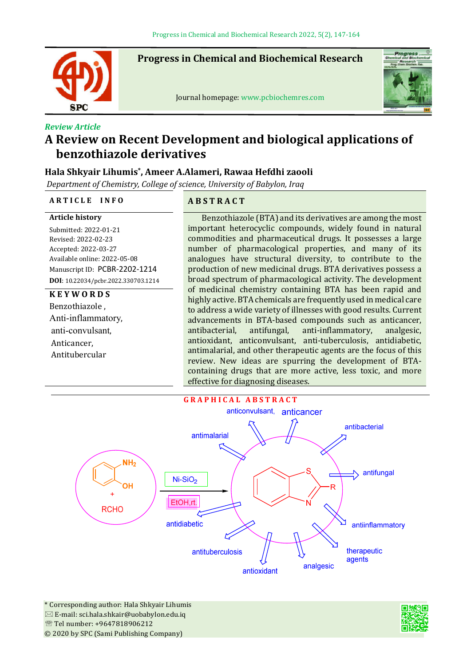

j

**Progress in Chemical and Biochemical Research**

Journal homepage: www.pcbiochemres.com



# *Review Article* **A Review on Recent Development and biological applications of benzothiazole derivatives**

## **Hala Shkyair Lihumis\*, Ameer A.Alameri, Rawaa Hefdhi zaooli**

*Department of Chemistry, College of science, University of Babylon, Iraq*

### **A R T I C L E I N F O A B S T R A C T**

#### **Article history**

Submitted: 2022-01-21 Revised: 2022-02-23 Accepted: 2022-03-27 Available online: 2022-05-08 Manuscript ID: PCBR-2202-1214 **DOI**: 10.22034/pcbr.2022.330703.1214

## **K E Y W O R D S**

Benzothiazole , Anti-inflammatory, anti-convulsant, Anticancer, Antitubercular

Benzothiazole (BTA) and its derivatives are among the most important heterocyclic compounds, widely found in natural commodities and pharmaceutical drugs. It possesses a large number of pharmacological properties, and many of its analogues have structural diversity, to contribute to the production of new medicinal drugs. BTA derivatives possess a broad spectrum of pharmacological activity. The development of medicinal chemistry containing BTA has been rapid and highly active. BTA chemicals are frequently used in medical care to address a wide variety of illnesses with good results. Current advancements in BTA-based compounds such as anticancer, antibacterial, antifungal, anti-inflammatory, analgesic, antioxidant, anticonvulsant, anti-tuberculosis, antidiabetic, antimalarial, and other therapeutic agents are the focus of this review. New ideas are spurring the development of BTAcontaining drugs that are more active, less toxic, and more effective for diagnosing diseases.



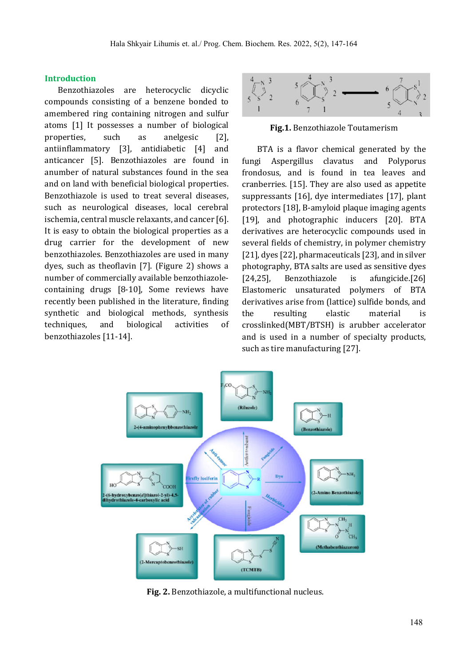#### **Introduction**

 Benzothiazoles are heterocyclic dicyclic compounds consisting of a benzene bonded to amembered ring containing nitrogen and sulfur atoms [1] It possesses a number of biological properties, such as anelgesic [2], antiinlammatory [3], antidiabetic [4] and anticancer [5]. Benzothiazoles are found in anumber of natural substances found in the sea and on land with beneficial biological properties. Benzothiazole is used to treat several diseases, such as neurological diseases, local cerebral ischemia, central muscle relaxants, and cancer [6]. It is easy to obtain the biological properties as a drug carrier for the development of new benzothiazoles. Benzothiazoles are used in many dyes, such as theoflavin  $[7]$ . (Figure 2) shows a number of commercially available benzothiazolecontaining drugs [8-10], Some reviews have recently been published in the literature, finding synthetic and biological methods, synthesis techniques, and biological activities of benzothiazoles [11-14].



**Fig.1.** Benzothiazole Toutamerism

 BTA is a flavor chemical generated by the fungi Aspergillus clavatus and Polyporus frondosus, and is found in tea leaves and cranberries. [15]. They are also used as appetite suppressants [16], dye intermediates [17], plant protectors [18], B-amyloid plaque imaging agents [19], and photographic inducers [20]. BTA derivatives are heterocyclic compounds used in several fields of chemistry, in polymer chemistry [21], dyes [22], pharmaceuticals [23], and in silver photography, BTA salts are used as sensitive dyes [24,25], Benzothiazole is afungicide.[26] Elastomeric unsaturated polymers of BTA derivatives arise from (lattice) sulfide bonds, and the resulting elastic material crosslinked(MBT/BTSH) is arubber accelerator and is used in a number of specialty products, such as tire manufacturing [27].



**Fig. 2.** Benzothiazole, a multifunctional nucleus.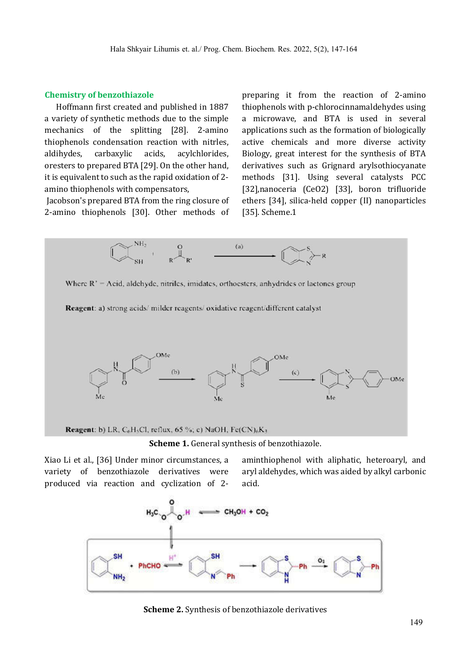#### **Chemistry of benzothiazole**

Hoffmann first created and published in 1887 a variety of synthetic methods due to the simple mechanics of the splitting [28]. 2-amino thiophenols condensation reaction with nitrles, aldihydes, carbaxylic acids, acylchlorides, oresters to prepared BTA [29]. On the other hand, it is equivalent to such as the rapid oxidation of 2 amino thiophenols with compensators,

Jacobson's prepared BTA from the ring closure of 2-amino thiophenols [30]. Other methods of preparing it from the reaction of 2-amino thiophenols with p-chlorocinnamaldehydes using a microwave, and BTA is used in several applications such as the formation of biologically active chemicals and more diverse activity Biology, great interest for the synthesis of BTA derivatives such as Grignard arylsothiocyanate methods [31]. Using several catalysts PCC [32],nanoceria (CeO2) [33], boron triluoride ethers [34], silica-held copper (II) nanoparticles [35]. Scheme.1



Xiao Li et al., [36] Under minor circumstances, a variety of benzothiazole derivatives were produced via reaction and cyclization of 2aminthiophenol with aliphatic, heteroaryl, and aryl aldehydes, which was aided by alkyl carbonic acid.



**Scheme 2.** Synthesis of benzothiazole derivatives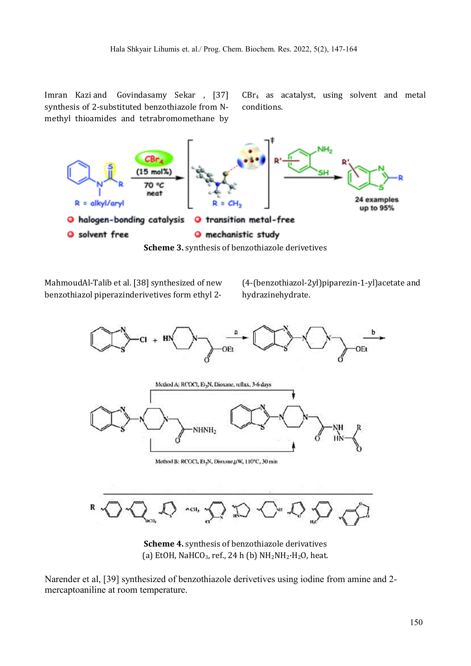Imran Kazi and Govindasamy Sekar , [37] synthesis of 2-substituted benzothiazole from Nmethyl thioamides and tetrabromomethane by CBr4 as acatalyst, using solvent and metal conditions.



MahmoudAl-Talib et al. [38] synthesized of new benzothiazol piperazinderivetives form ethyl 2(4-(benzothiazol-2yl)piparezin-1-yl)acetate and hydrazinehydrate.



**Scheme 4.** synthesis of benzothiazole derivatives (a) EtOH, NaHCO<sub>3</sub>, ref., 24 h (b)  $NH_2NH_2\cdot H_2O$ , heat.

Narender et al, [39] synthesized of benzothiazole derivetives using iodine from amine and 2 mercaptoaniline at room temperature.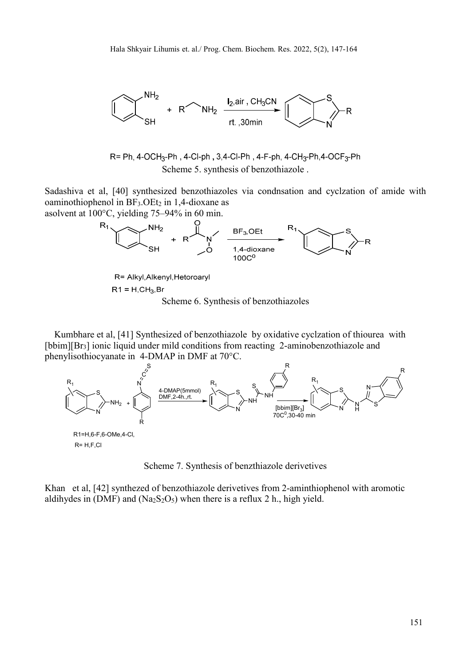

$$
R = Ph, 4-OCH3-Ph, 4-CI-ph, 3,4-CI-Ph, 4-F-ph, 4-CH3-Ph, 4-OCF3-Ph
$$
 Scheme 5. synthesis of benzothiazole.

Sadashiva et al, [40] synthesized benzothiazoles via condnsation and cyclzation of amide with oaminothiophenol in  $BF_3.OEt_2$  in 1,4-dioxane as



R= Alkyl, Alkenyl, Hetoroaryl

 $R1 = H, CH<sub>3</sub>, Br$ 

Scheme 6. Synthesis of benzothiazoles

 Kumbhare et al, [41] Synthesized of benzothiazole by oxidative cyclzation of thiourea with [bbim][Br<sub>3</sub>] ionic liquid under mild conditions from reacting 2-aminobenzothiazole and phenylisothiocyanate in 4-DMAP in DMF at 70°C.



Scheme 7. Synthesis of benzthiazole derivetives

Khan et al, [42] synthezed of benzothiazole derivetives from 2-aminthiophenol with aromotic aldihydes in (DMF) and ( $\text{Na}_2\text{S}_2\text{O}_5$ ) when there is a reflux 2 h., high yield.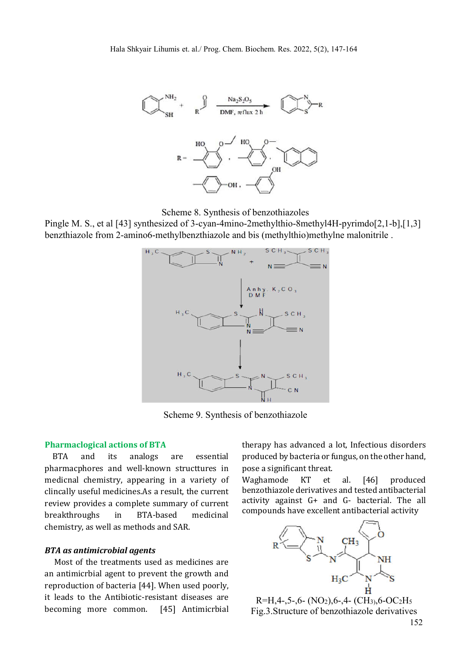

Scheme 8. Synthesis of benzothiazoles

Pingle M. S., et al [43] synthesized of 3-cyan-4mino-2methylthio-8methyl4H-pyrimdo[2,1-b],[1,3] benzthiazole from 2-amino6-methylbenzthiazole and bis (methylthio)methylne malonitrile .



Scheme 9. Synthesis of benzothiazole

#### **Pharmaclogical actions of BTA**

 BTA and its analogs are essential pharmacphores and well-known structtures in medicnal chemistry, appearing in a variety of clincally useful medicines.As a result, the current review provides a complete summary of current breakthroughs in BTA-based medicinal chemistry, as well as methods and SAR.

#### *BTA as antimicrobial agents*

 Most of the treatments used as medicines are an antimicrbial agent to prevent the growth and reproduction of bacteria [44]. When used poorly, it leads to the Antibiotic-resistant diseases are becoming more common. [45] Antimicrbial therapy has advanced a lot, Infectious disorders produced by bacteria or fungus, on the other hand, pose a significant threat.

Waghamode KT et al. [46] produced benzothiazole derivatives and tested antibacterial activity against G+ and G- bacterial. The all compounds have excellent antibacterial activity



 $R=H,4-,5-,6-(NO<sub>2</sub>),6-,4-(CH<sub>3</sub>),6-OC<sub>2</sub>H<sub>5</sub>$ Fig.3.Structure of benzothiazole derivatives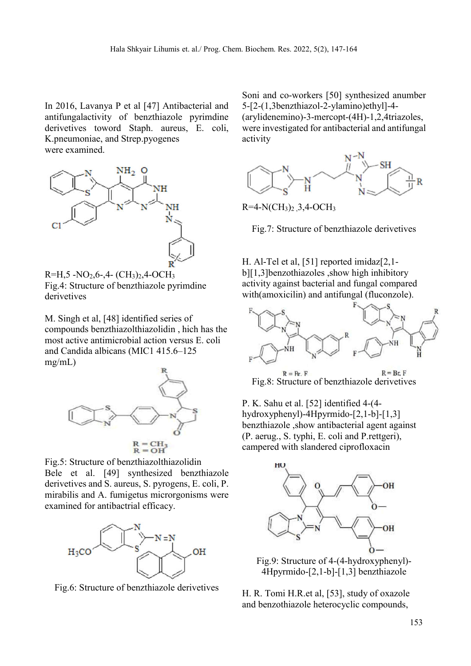In 2016, Lavanya P et al [47] Antibacterial and antifungalactivity of benzthiazole pyrimdine derivetives toword Staph. aureus, E. coli, K.pneumoniae, and Strep.pyogenes were examined.





M. Singh et al, [48] identified series of compounds benzthiazolthiazolidin , hich has the most active antimicrobial action versus E. coli and Candida albicans (MIC1 415.6–125 mg/mL)



Fig.5: Structure of benzthiazolthiazolidin Bele et al. [49] synthesized benzthiazole derivetives and S. aureus, S. pyrogens, E. coli, P. mirabilis and A. fumigetus microrgonisms were examined for antibactrial efficacy.



Fig.6: Structure of benzthiazole derivetives

Soni and co-workers [50] synthesized anumber 5-[2-(1,3benzthiazol-2-ylamino)ethyl]-4- (arylidenemino)-3-mercopt-(4H)-1,2,4triazoles, were investigated for antibacterial and antifungal activity



 $R=4-N(CH_3)_2$ , 3, 4-OCH<sub>3</sub>

Fig.7: Structure of benzthiazole derivetives

H. Al-Tel et al, [51] reported imidaz[2,1 b][1,3]benzothiazoles ,show high inhibitory activity against bacterial and fungal compared with(amoxicilin) and antifungal (fluconzole).



 $R = Br$ .  $F$  $R = Rr$  F Fig.8: Structure of benzthiazole derivetives

P. K. Sahu et al. [52] identified 4-(4 hydroxyphenyl)-4Hpyrmido-[2,1-b]-[1,3] benzthiazole ,show antibacterial agent against (P. aerug., S. typhi, E. coli and P.rettgeri), campered with slandered ciprofloxacin



Fig.9: Structure of 4-(4-hydroxyphenyl)- 4Hpyrmido-[2,1-b]-[1,3] benzthiazole

H. R. Tomi H.R.et al, [53], study of oxazole and benzothiazole heterocyclic compounds,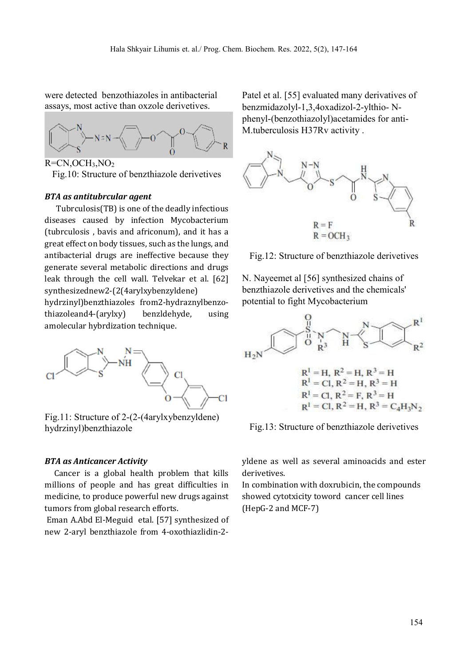were detected benzothiazoles in antibacterial assays, most active than oxzole derivetives.



Fig.10: Structure of benzthiazole derivetives

#### *BTA as antitubrcular agent*

 Tubrculosis(TB) is one of the deadly infectious diseases caused by infection Mycobacterium (tubrculosis , bavis and africonum), and it has a great effect on body tissues, such as the lungs, and antibacterial drugs are ineffective because they generate several metabolic directions and drugs leak through the cell wall. Telvekar et al. [62] synthesizednew2-(2(4arylxybenzyldene)

hydrzinyl)benzthiazoles from2-hydraznylbenzothiazoleand4-(arylxy) benzldehyde, using amolecular hybrdization technique.



Fig.11: Structure of 2-(2-(4arylxybenzyldene) hydrzinyl)benzthiazole

#### *BTA as Anticancer Activity*

 Cancer is a global health problem that kills millions of people and has great difficulties in medicine, to produce powerful new drugs against tumors from global research efforts.

Eman A.Abd El-Meguid etal. [57] synthesized of new 2-aryl benzthiazole from 4-oxothiazlidin-2Patel et al. [55] evaluated many derivatives of benzmidazolyl-1,3,4oxadizol-2-ylthio- Nphenyl-(benzothiazolyl)acetamides for anti-M.tuberculosis H37Rv activity .



Fig.12: Structure of benzthiazole derivetives

N. Nayeemet al [56] synthesized chains of benzthiazole derivetives and the chemicals' potential to fight Mycobacterium



Fig.13: Structure of benzthiazole derivetives

yldene as well as several aminoacids and ester derivetives.

In combination with doxrubicin, the compounds showed cytotxicity toword cancer cell lines (HepG-2 and MCF-7)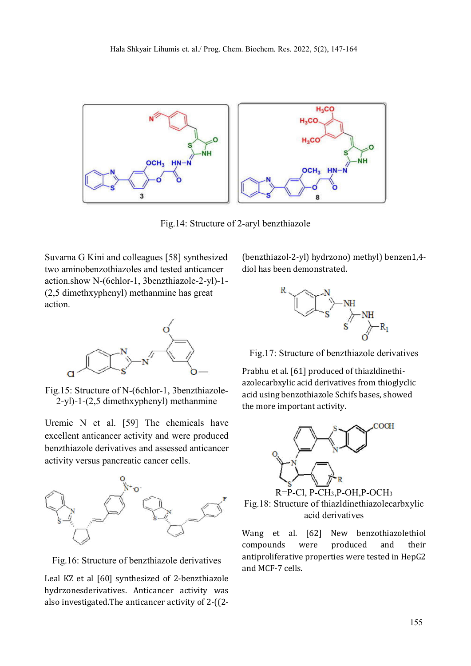

Fig.14: Structure of 2-aryl benzthiazole

Suvarna G Kini and colleagues [58] synthesized two aminobenzothiazoles and tested anticancer action.show N-(6chlor-1, 3benzthiazole-2-yl)-1- (2,5 dimethxyphenyl) methanmine has great action.



Fig.15: Structure of N-(6chlor-1, 3benzthiazole-2-yl)-1-(2,5 dimethxyphenyl) methanmine

Uremic N et al. [59] The chemicals have excellent anticancer activity and were produced benzthiazole derivatives and assessed anticancer activity versus pancreatic cancer cells.



Fig.16: Structure of benzthiazole derivatives

Leal KZ et al [60] synthesized of 2-benzthiazole hydrzonesderivatives. Anticancer activity was also investigated.The anticancer activity of 2-((2(benzthiazol-2-yl) hydrzono) methyl) benzen1,4 diol has been demonstrated.



Fig.17: Structure of benzthiazole derivatives

Prabhu et al. [61] produced of thiazldinethiazolecarbxylic acid derivatives from thioglyclic acid using benzothiazole Schifs bases, showed the more important activity.



R=P-Cl, P-CH3,P-OH,P-OCH3 Fig.18: Structure of thiazldinethiazolecarbxylic acid derivatives

Wang et al. [62] New benzothiazolethiol compounds were produced and their antiproliferative properties were tested in HepG2 and MCF-7 cells.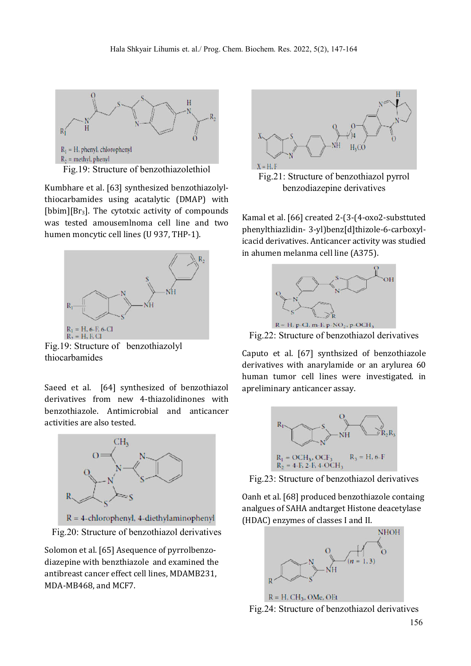

Fig.19: Structure of benzothiazolethiol

Kumbhare et al. [63] synthesized benzothiazolylthiocarbamides using acatalytic (DMAP) with [bbim][Br<sub>3</sub>]. The cytotxic activity of compounds was tested amousemlnoma cell line and two humen moncytic cell lines (U 937, THP-1).



Fig.19: Structure of benzothiazolyl thiocarbamides

Saeed et al. [64] synthesized of benzothiazol derivatives from new 4-thiazolidinones with benzothiazole. Antimicrobial and anticancer activities are also tested.



Fig.20: Structure of benzothiazol derivatives

Solomon et al. [65] Asequence of pyrrolbenzodiazepine with benzthiazole and examined the antibreast cancer effect cell lines, MDAMB231, MDA-MB468, and MCF7.



Fig.21: Structure of benzothiazol pyrrol benzodiazepine derivatives

Kamal et al. [66] created 2-(3-(4-oxo2-substtuted phenylthiazlidin- 3-yl)benz[d]thizole-6-carboxylicacid derivatives. Anticancer activity was studied in ahumen melanma cell line (A375).



Fig.22: Structure of benzothiazol derivatives

Caputo et al. [67] synthsized of benzothiazole derivatives with anarylamide or an arylurea 60 human tumor cell lines were investigated. in apreliminary anticancer assay.



Fig.23: Structure of benzothiazol derivatives

Oanh et al. [68] produced benzothiazole containg analgues of SAHA andtarget Histone deacetylase (HDAC) enzymes of classes I and II.



Fig.24: Structure of benzothiazol derivatives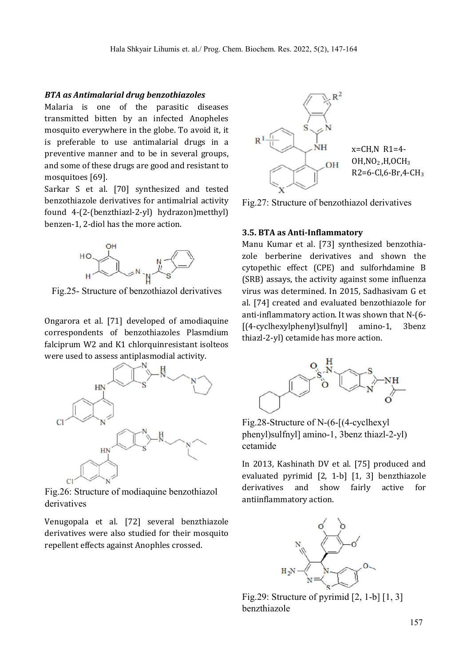#### *BTA as Antimalarial drug benzothiazoles*

Malaria is one of the parasitic diseases transmitted bitten by an infected Anopheles mosquito everywhere in the globe. To avoid it, it is preferable to use antimalarial drugs in a preventive manner and to be in several groups, and some of these drugs are good and resistant to mosquitoes [69].

Sarkar S et al. [70] synthesized and tested benzothiazole derivatives for antimalrial activity found 4-(2-(benzthiazl-2-yl) hydrazon)metthyl) benzen-1, 2-diol has the more action.



Fig.25- Structure of benzothiazol derivatives

Ongarora et al. [71] developed of amodiaquine correspondents of benzothiazoles Plasmdium falciprum W2 and K1 chlorquinresistant isolteos were used to assess antiplasmodial activity.



Fig.26: Structure of modiaquine benzothiazol derivatives

Venugopala et al. [72] several benzthiazole derivatives were also studied for their mosquito repellent effects against Anophles crossed.



Fig.27: Structure of benzothiazol derivatives

### **3.5. BTA as Anti-Inflammatory**

Manu Kumar et al. [73] synthesized benzothiazole berberine derivatives and shown the cytopethic effect (CPE) and sulforhdamine B (SRB) assays, the activity against some influenza virus was determined. In 2015, Sadhasivam G et al. [74] created and evaluated benzothiazole for anti-inflammatory action. It was shown that N-(6- [(4-cyclhexylphenyl)sulfnyl] amino-1, 3benz thiazl-2-yl) cetamide has more action.



Fig.28-Structure of N-(6-[(4-cyclhexyl phenyl)sulfnyl] amino-1, 3benz thiazl-2-yl) cetamide

In 2013, Kashinath DV et al. [75] produced and evaluated pyrimid [2, 1-b] [1, 3] benzthiazole derivatives and show fairly active for antiinflammatory action.



Fig.29: Structure of pyrimid [2, 1-b] [1, 3] benzthiazole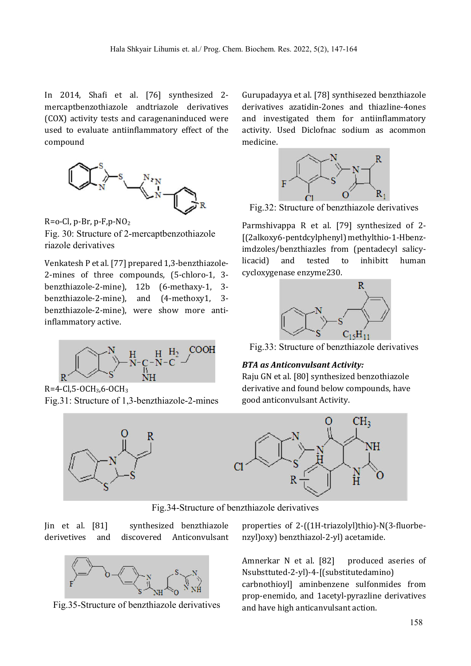In 2014, Shafi et al. [76] synthesized 2mercaptbenzothiazole andtriazole derivatives (COX) activity tests and caragenaninduced were used to evaluate antiinflammatory effect of the compound



 $R = o - Cl$ , p-Br, p-F, p-N $O<sub>2</sub>$ Fig. 30: Structure of 2-mercaptbenzothiazole riazole derivatives

Venkatesh P et al. [77] prepared 1,3-benzthiazole-2-mines of three compounds, (5-chloro-1, 3 benzthiazole-2-mine), 12b (6-methaxy-1, 3 benzthiazole-2-mine), and (4-methoxy1, 3 benzthiazole-2-mine), were show more antiinflammatory active.



R=4-Cl,5-OCH3,6-OCH3 Fig.31: Structure of 1,3-benzthiazole-2-mines



Gurupadayya et al. [78] synthisezed benzthiazole derivatives azatidin-2ones and thiazline-4ones and investigated them for antiinflammatory activity. Used Diclofnac sodium as acommon medicine.



Fig.32: Structure of benzthiazole derivatives

Parmshivappa R et al. [79] synthesized of 2- [(2alkoxy6-pentdcylphenyl) methylthio-1-Hbenzimdzoles/benzthiazles from (pentadecyl salicylicacid) and tested to inhibitt human cycloxygenase enzyme230.



Fig.33: Structure of benzthiazole derivatives

## *BTA as Anticonvulsant Activity:*

Raju GN et al. [80] synthesized benzothiazole derivative and found below compounds, have good anticonvulsant Activity.



Fig.34-Structure of benzthiazole derivatives

Jin et al. [81] synthesized benzthiazole derivetives and discovered Anticonvulsant



Fig.35-Structure of benzthiazole derivatives

properties of 2-((1H-triazolyl)thio)-N(3-fluorbenzyl)oxy) benzthiazol-2-yl) acetamide.

Amnerkar N et al. [82] produced aseries of Nsubsttuted-2-yl)-4-[(substitutedamino) carbnothioyl] aminbenzene sulfonmides from prop-enemido, and 1acetyl-pyrazline derivatives and have high anticanvulsant action.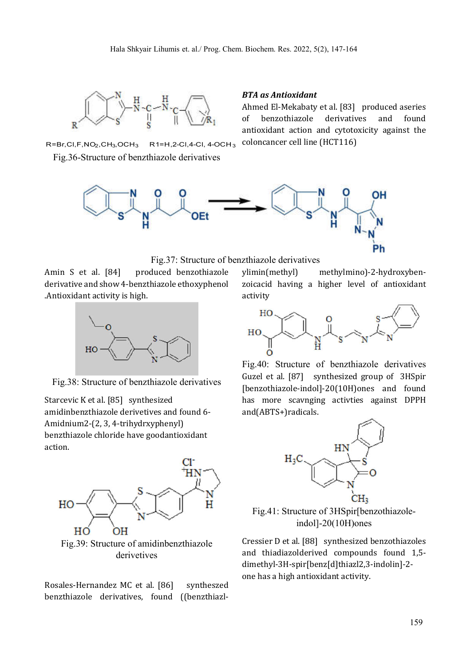

 $R=Br,CI, F, NO<sub>2</sub>, CH<sub>3</sub>, OCH<sub>3</sub>$   $R1=H, 2-Cl, 4-Cl, 4-OCH<sub>3</sub>$ Fig.36-Structure of benzthiazole derivatives

#### *BTA as Antioxidant*

Ahmed El-Mekabaty et al. [83] produced aseries of benzothiazole derivatives and found antioxidant action and cytotoxicity against the coloncancer cell line (HCT116)





Amin S et al. [84] produced benzothiazole derivative and show 4-benzthiazole ethoxyphenol .Antioxidant activity is high.



Fig.38: Structure of benzthiazole derivatives

Starcevic K et al. [85] synthesized amidinbenzthiazole derivetives and found 6- Amidnium2-(2, 3, 4-trihydrxyphenyl) benzthiazole chloride have goodantioxidant action.



Fig.39: Structure of amidinbenzthiazole derivetives

Rosales-Hernandez MC et al. [86] syntheszed benzthiazole derivatives, found ((benzthiazlylimin(methyl) methylmino)-2-hydroxybenzoicacid having a higher level of antioxidant activity



Fig.40: Structure of benzthiazole derivatives Guzel et al. [87] synthesized group of 3HSpir [benzothiazole-indol]-20(10H)ones and found has more scavnging activties against DPPH and(ABTS+)radicals.



Fig.41: Structure of 3HSpir[benzothiazoleindol]-20(10H)ones

Cressier D et al. [88] synthesized benzothiazoles and thiadiazolderived compounds found 1,5 dimethyl-3H-spir[benz[d]thiazl2,3-indolin]-2 one has a high antioxidant activity.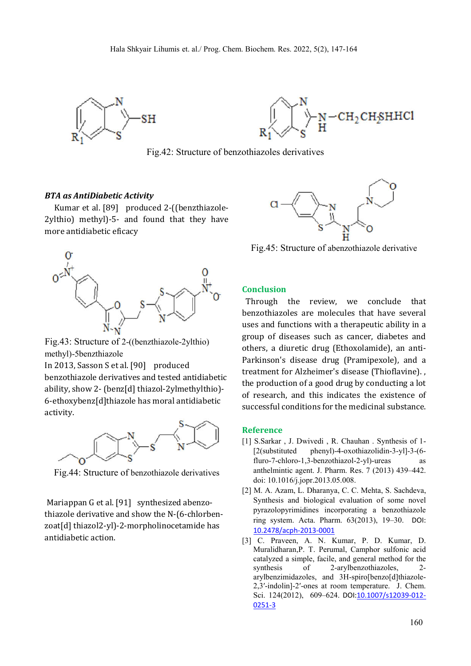



Fig.42: Structure of benzothiazoles derivatives

#### *BTA as AntiDiabetic Activity*

Kumar et al. [89] produced 2-((benzthiazole-2ylthio) methyl)-5- and found that they have more antidiabetic eficacy



Fig.43: Structure of 2-((benzthiazole-2ylthio) methyl)-5benzthiazole

In 2013, Sasson S et al. [90] produced benzothiazole derivatives and tested antidiabetic ability, show 2- (benz[d] thiazol-2ylmethylthio)- 6-ethoxybenz[d]thiazole has moral antidiabetic activity.



Fig.44: Structure of benzothiazole derivatives

Mariappan G et al. [91] synthesized abenzothiazole derivative and show the N-(6-chlorbenzoat[d] thiazol2-yl)-2-morpholinocetamide has antidiabetic action.



Fig.45: Structure of abenzothiazole derivative

#### **Conclusion**

 Through the review, we conclude that benzothiazoles are molecules that have several uses and functions with a therapeutic ability in a group of diseases such as cancer, diabetes and others, a diuretic drug (Ethoxolamide), an anti-Parkinson's disease drug (Pramipexole), and a treatment for Alzheimer's disease (Thioflavine). , the production of a good drug by conducting a lot of research, and this indicates the existence of successful conditions for the medicinal substance.

#### **Reference**

- [1] S.Sarkar , J. Dwivedi , R. Chauhan . Synthesis of 1- [2(substituted phenyl)-4-oxothiazolidin-3-yl]-3-(6 fluro-7-chloro-1,3-benzothiazol-2-yl)-ureas as anthelmintic agent. J. Pharm. Res. 7 (2013) 439–442. doi: 10.1016/j.jopr.2013.05.008.
- [2] M. A. Azam, L. Dharanya, C. C. Mehta, S. Sachdeva, Synthesis and biological evaluation of some novel pyrazolopyrimidines incorporating a benzothiazole ring system. Acta. Pharm. 63(2013), 19–30. DOI: 10.2478/acph-2013-0001
- [3] C. Praveen, A. N. Kumar, P. D. Kumar, D. Muralidharan,P. T. Perumal, Camphor sulfonic acid catalyzed a simple, facile, and general method for the synthesis of 2-arylbenzothiazoles, 2arylbenzimidazoles, and 3H-spiro[benzo[d]thiazole-2,3′-indolin]-2′-ones at room temperature. J. Chem. Sci. 124(2012), 609-624. DOI:10.1007/s12039-012-0251-3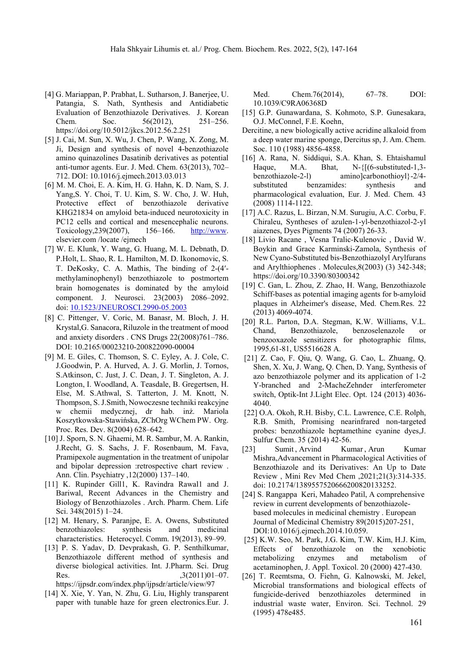- [4] G. Mariappan, P. Prabhat, L. Sutharson, J. Banerjee, U. Patangia, S. Nath, Synthesis and Antidiabetic Evaluation of Benzothiazole Derivatives. J. Korean Chem. Soc. 56(2012), 251–256. https://doi.org/10.5012/jkcs.2012.56.2.251
- [5] J. Cai, M. Sun, X. Wu, J. Chen, P. Wang, X. Zong, M. Ji, Design and synthesis of novel 4-benzothiazole amino quinazolines Dasatinib derivatives as potential anti-tumor agents. Eur. J. Med. Chem. 63(2013), 702– 712. DOI: 10.1016/j.ejmech.2013.03.013
- [6] M. M. Choi, E. A. Kim, H. G. Hahn, K. D. Nam, S. J. Yang,S. Y. Choi, T. U. Kim, S. W. Cho, J. W. Huh, Protective effect of benzothiazole derivative KHG21834 on amyloid beta-induced neurotoxicity in PC12 cells and cortical and mesencephalic neurons. Toxicology,239(2007), 156–166. http://www. elsevier.com /locate /ejmech
- [7] W. E. Klunk, Y. Wang, G. Huang, M. L. Debnath, D. P.Holt, L. Shao, R. L. Hamilton, M. D. Ikonomovic, S. T. DeKosky, C. A. Mathis, The binding of 2-(4′ methylaminophenyl) benzothiazole to postmortem brain homogenates is dominated by the amyloid component. J. Neurosci. 23(2003) 2086–2092. doi: 10.1523/JNEUROSCI.2990-05.2003
- [8] C. Pittenger, V. Coric, M. Banasr, M. Bloch, J. H. Krystal,G. Sanacora, Riluzole in the treatment of mood and anxiety disorders . CNS Drugs 22(2008)761–786. DOI: 10.2165/00023210-200822090-00004
- [9] M. E. Giles, C. Thomson, S. C. Eyley, A. J. Cole, C. J.Goodwin, P. A. Hurved, A. J. G. Morlin, J. Tornos, S.Atkinson, C. Just, J. C. Dean, J. T. Singleton, A. J. Longton, I. Woodland, A. Teasdale, B. Gregertsen, H. Else, M. S.Athwal, S. Tatterton, J. M. Knott, N. Thompson, S. J.Smith, Nowoczesne techniki reakcyjne w chemii medycznej, dr hab. inż. Mariola Koszytkowska-Stawińska, ZChOrg WChem PW. Org. Proc. Res. Dev. 8(2004) 628–642.
- [10] J. Sporn, S. N. Ghaemi, M. R. Sambur, M. A. Rankin, J.Recht, G. S. Sachs, J. F. Rosenbaum, M. Fava, Pramipexole augmentation in the treatment of unipolar and bipolar depression :retrospective chart review . Ann. Clin. Psychiatry ,12(2000) 137–140.
- [11] K. Rupinder Gill1, K. Ravindra Rawal1 and J. Bariwal, Recent Advances in the Chemistry and Biology of Benzothiazoles . Arch. Pharm. Chem. Life Sci. 348(2015) 1–24.
- [12] M. Henary, S. Paranjpe, E. A. Owens, Substituted benzothiazoles: synthesis and medicinal characteristics. Heterocycl. Comm. 19(2013), 89–99.
- [13] P. S. Yadav, D. Devprakash, G. P. Senthilkumar, Benzothiazole different method of synthesis and diverse biological activities. Int. J.Pharm. Sci. Drug Res.  $,3(2011)01-07.$

https://ijpsdr.com/index.php/ijpsdr/article/view/97

[14] X. Xie, Y. Yan, N. Zhu, G. Liu, Highly transparent paper with tunable haze for green electronics.Eur. J. Med. Chem.76(2014), 67–78. DOI: 10.1039/C9RA06368D

- [15] G.P. Gunawardana, S. Kohmoto, S.P. Gunesakara, O.J. McConnel, F.E. Koehn,
- Dercitine, a new biologically active acridine alkaloid from a deep water marine sponge, Dercitus sp, J. Am. Chem. Soc. 110 (1988) 4856-4858.
- [16] A. Rana, N. Siddiqui, S.A. Khan, S. Ehtaishamul Haque, M.A. Bhat, N-{ $[(6\text{-substituted-1},3$ benzothiazole-2-l) amino]carbonothioyl}-2/4 substituted benzamides: synthesis and pharmacological evaluation, Eur. J. Med. Chem. 43 (2008) 1114-1122.
- [17] A.C. Razus, L. Birzan, N.M. Surugiu, A.C. Corbu, F. Chiraleu, Syntheses of azulen-1-yl-benzothiazol-2-yl aiazenes, Dyes Pigments 74 (2007) 26-33.
- [18] Livio Racane , Vesna Tralic-Kulenovic , David W. Boykin and Grace Karminski-Zamola, Synthesis of New Cyano-Substituted bis-Benzothiazolyl Arylfurans and Arylthiophenes . Molecules,8(2003) (3) 342-348; https://doi.org/10.3390/80300342
- [19] C. Gan, L. Zhou, Z. Zhao, H. Wang, Benzothiazole Schiff-bases as potential imaging agents for b-amyloid plaques in Alzheimer's disease, Med. Chem.Res. 22 (2013) 4069-4074.
- [20] R.L. Parton, D.A. Stegman, K.W. Williams, V.L. Chand, Benzothiazole, benzoselenazole or benzooxazole sensitizers for photographic films, 1995,61-81, US5516628 A.
- [21] Z. Cao, F. Qiu, Q. Wang, G. Cao, L. Zhuang, Q. Shen, X. Xu, J. Wang, Q. Chen, D. Yang, Synthesis of azo benzothiazole polymer and its application of 1-2 Y-branched and 2-MacheZehnder interferometer switch, Optik-Int J.Light Elec. Opt. 124 (2013) 4036- 4040.
- [22] O.A. Okoh, R.H. Bisby, C.L. Lawrence, C.E. Rolph, R.B. Smith, Promising nearinfrared non-targeted probes: benzothiazole heptamethine cyanine dyes,J. Sulfur Chem. 35 (2014) 42-56.
- [23] Sumit, Arvind Kumar, Arun Kumar Mishra,Advancement in Pharmacological Activities of Benzothiazole and its Derivatives: An Up to Date Review , Mini Rev Med Chem ,2021;21(3):314-335. doi: 10.2174/1389557520666200820133252.
- [24] S. Rangappa Keri, Mahadeo Patil, A comprehensive review in current developments of benzothiazolebased molecules in medicinal chemistry . European Journal of Medicinal Chemistry 89(2015)207-251, DOI:10.1016/j.ejmech.2014.10.059.
- [25] K.W. Seo, M. Park, J.G. Kim, T.W. Kim, H.J. Kim, Effects of benzothiazole on the xenobiotic metabolizing enzymes and metabolism of acetaminophen, J. Appl. Toxicol. 20 (2000) 427-430.
- [26] T. Reemtsma, O. Fiehn, G. Kalnowski, M. Jekel, Microbial transformations and biological effects of fungicide-derived benzothiazoles determined in industrial waste water, Environ. Sci. Technol. 29 (1995) 478e485.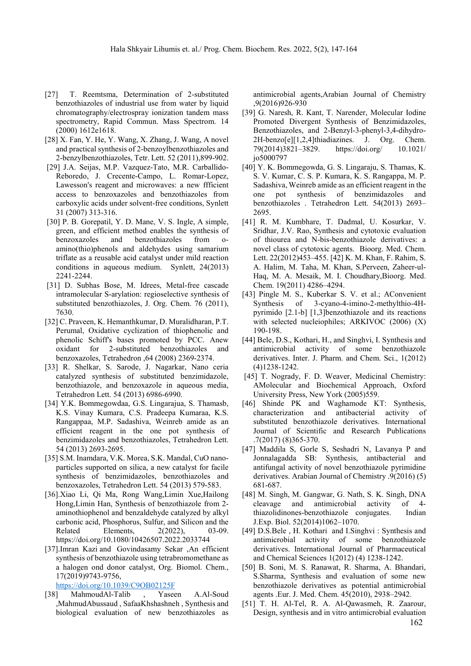- [27] T. Reemtsma, Determination of 2-substituted benzothiazoles of industrial use from water by liquid chromatography/electrospray ionization tandem mass spectrometry, Rapid Commun. Mass Spectrom. 14 (2000) 1612e1618.
- [28] X. Fan, Y. He, Y. Wang, X. Zhang, J. Wang, A novel and practical synthesis of 2-benzoylbenzothiazoles and 2-benzylbenzothiazoles, Tetr. Lett. 52 (2011),899-902.
- [29] J.A. Seijas, M.P. Vazquez-Tato, M.R. Carballido-Reboredo, J. Crecente-Campo, L. Romar-Lopez, Lawesson's reagent and microwaves: a new ffficient access to benzoxazoles and benzothiazoles from carboxylic acids under solvent-free conditions, Synlett 31 (2007) 313-316.
- [30] P. B. Gorepatil, Y. D. Mane, V. S. Ingle, A simple, green, and efficient method enables the synthesis of benzoxazoles and benzothiazoles from oamino(thio)phenols and aldehydes using samarium triflate as a reusable acid catalyst under mild reaction conditions in aqueous medium. Synlett, 24(2013) 2241-2244.
- [31] D. Subhas Bose, M. Idrees, Metal-free cascade intramolecular S-arylation: regioselective synthesis of substituted benzothiazoles, J. Org. Chem. 76 (2011), 7630.
- [32] C. Praveen, K. Hemanthkumar, D. Muralidharan, P.T. Perumal, Oxidative cyclization of thiophenolic and phenolic Schiff's bases promoted by PCC. Anew oxidant for 2-substituted benzothiazoles and benzoxazoles, Tetrahedron ,64 (2008) 2369-2374.
- [33] R. Shelkar, S. Sarode, J. Nagarkar, Nano ceria catalyzed synthesis of substituted benzimidazole, benzothiazole, and benzoxazole in aqueous media, Tetrahedron Lett. 54 (2013) 6986-6990.
- [34] Y.K. Bommegowdaa, G.S. Lingarajua, S. Thamasb, K.S. Vinay Kumara, C.S. Pradeepa Kumaraa, K.S. Rangappaa, M.P. Sadashiva, Weinreb amide as an efficient reagent in the one pot synthesis of benzimidazoles and benzothiazoles, Tetrahedron Lett. 54 (2013) 2693-2695.
- [35] S.M. Inamdara, V.K. Morea, S.K. Mandal, CuO nanoparticles supported on silica, a new catalyst for facile synthesis of benzimidazoles, benzothiazoles and benzoxazoles, Tetrahedron Lett. 54 (2013) 579-583.
- [36].Xiao Li, Qi Ma, Rong Wang,Limin Xue,Hailong Hong,Limin Han, Synthesis of benzothiazole from 2 aminothiophenol and benzaldehyde catalyzed by alkyl carbonic acid, Phosphorus, Sulfur, and Silicon and the Related Elements, 2(2022), 03-09. https://doi.org/10.1080/10426507.2022.2033744
- [37].Imran Kazi and Govindasamy Sekar ,An efficient synthesis of benzothiazole using tetrabromomethane as a halogen ond donor catalyst, Org. Biomol. Chem., 17(2019)9743-9756,

https://doi.org/10.1039/C9OB02125F

[38] MahmoudAl-Talib , Yaseen A.Al-Soud ,MahmudAbussaud , SafaaKhshashneh , Synthesis and biological evaluation of new benzothiazoles as antimicrobial agents,Arabian Journal of Chemistry ,9(2016)926-930

- [39] G. Naresh, R. Kant, T. Narender, Molecular Iodine Promoted Divergent Synthesis of Benzimidazoles, Benzothiazoles, and 2-Benzyl-3-phenyl-3,4-dihydro-2H-benzo[e][1,2,4]thiadiazines. J. Org. Chem. 79(2014)3821–3829. https://doi.org/ 10.1021/ jo5000797
- [40] Y. K. Bommegowda, G. S. Lingaraju, S. Thamas, K. S. V. Kumar, C. S. P. Kumara, K. S. Rangappa, M. P. Sadashiva, Weinreb amide as an efficient reagent in the one pot synthesis of benzimidazoles and benzothiazoles . Tetrahedron Lett. 54(2013) 2693– 2695.
- [41] R. M. Kumbhare, T. Dadmal, U. Kosurkar, V. Sridhar, J.V. Rao, Synthesis and cytotoxic evaluation of thiourea and N-bis-benzothiazole derivatives: a novel class of cytotoxic agents. Bioorg. Med. Chem. Lett. 22(2012)453–455. [42] K. M. Khan, F. Rahim, S. A. Halim, M. Taha, M. Khan, S.Perveen, Zaheer-ul-Haq, M. A. Mesaik, M. I. Choudhary,Bioorg. Med. Chem. 19(2011) 4286–4294.
- [43] Pingle M. S., Kuberkar S. V. et al.; AConvenient Synthesis of 3-cyano-4-imino-2-methylthio-4Hpyrimido [2.1-b] [1,3]benzothiazole and its reactions with selected nucleiophiles; ARKIVOC (2006) (X) 190-198.
- [44] Bele, D.S., Kothari, H., and Singhvi, I. Synthesis and antimicrobial activity of some benzothiazole derivatives. Inter. J. Pharm. and Chem. Sci., 1(2012) (4)1238-1242.
- [45] T. Nogrady, F. D. Weaver, Medicinal Chemistry: AMolecular and Biochemical Approach, Oxford University Press, New York (2005)559.
- [46] Shinde PK and Waghamode KT: Synthesis, characterization and antibacterial activity of substituted benzothiazole derivatives. International Journal of Scientific and Research Publications .7(2017) (8)365-370.
- [47] Maddila S, Gorle S, Seshadri N, Lavanya P and Jonnalagadda SB: Synthesis, antibacterial and antifungal activity of novel benzothiazole pyrimidine derivatives. Arabian Journal of Chemistry .9(2016) (5) 681-687.
- [48] M. Singh, M. Gangwar, G. Nath, S. K. Singh, DNA cleavage and antimicrobial activity of 4 thiazolidinones-benzothiazole conjugates. Indian J.Exp. Biol. 52(2014)1062–1070.
- [49] D.S.Bele , H. Kothari and I.Singhvi : Synthesis and antimicrobial activity of some benzothiazole derivatives. International Journal of Pharmaceutical and Chemical Sciences 1(2012) (4) 1238-1242.
- [50] B. Soni, M. S. Ranawat, R. Sharma, A. Bhandari, S.Sharma, Synthesis and evaluation of some new benzothiazole derivatives as potential antimicrobial agents .Eur. J. Med. Chem. 45(2010), 2938–2942.
- 162 [51] T. H. Al-Tel, R. A. Al-Qawasmeh, R. Zaarour, Design, synthesis and in vitro antimicrobial evaluation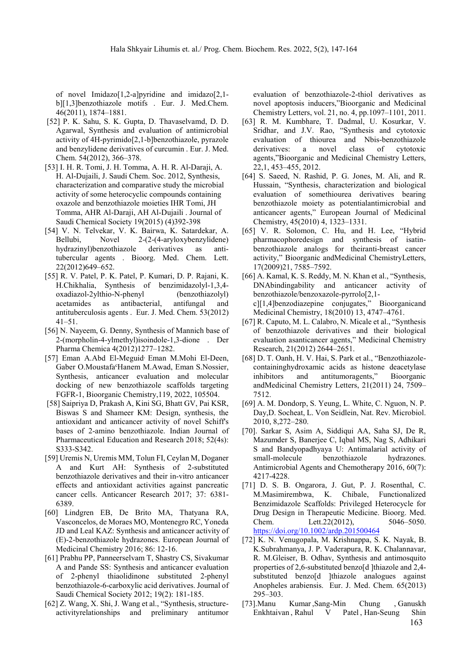of novel Imidazo[1,2-a]pyridine and imidazo[2,1 b][1,3]benzothiazole motifs . Eur. J. Med.Chem. 46(2011), 1874–1881.

- [52] P. K. Sahu, S. K. Gupta, D. Thavaselvamd, D. D. Agarwal, Synthesis and evaluation of antimicrobial activity of 4H-pyrimido[2,1-b]benzothiazole, pyrazole and benzylidene derivatives of curcumin . Eur. J. Med. Chem. 54(2012), 366–378.
- [53] I. H. R. Tomi, J. H. Tomma, A. H. R. Al-Daraji, A. H. Al-Dujaili, J. Saudi Chem. Soc. 2012, Synthesis, characterization and comparative study the microbial activity of some heterocyclic compounds containing oxazole and benzothiazole moieties IHR Tomi, JH Tomma, AHR Al-Daraji, AH Al-Dujaili . Journal of Saudi Chemical Society 19(2015) (4)392-398
- [54] V. N. Telvekar, V. K. Bairwa, K. Satardekar, A. Bellubi, Novel 2-(2-(4-aryloxybenzylidene) hydrazinyl)benzothiazole derivatives as antitubercular agents . Bioorg. Med. Chem. Lett. 22(2012)649–652.
- [55] R. V. Patel, P. K. Patel, P. Kumari, D. P. Rajani, K. H.Chikhalia, Synthesis of benzimidazolyl-1,3,4 oxadiazol-2ylthio-N-phenyl (benzothiazolyl) acetamides as antibacterial, antifungal and antituberculosis agents . Eur. J. Med. Chem. 53(2012) 41–51.
- [56] N. Nayeem, G. Denny, Synthesis of Mannich base of 2-(morpholin-4-ylmethyl)isoindole-1,3-dione . Der Pharma Chemica 4(2012)1277–1282.
- [57] Eman A.Abd El-Meguid, Eman M.Mohi El-Deen, Gaber O.Moustafa<sup>c</sup>Hanem M.Awad, Eman S.Nossier, Synthesis, anticancer evaluation and molecular docking of new benzothiazole scaffolds targeting FGFR-1, Bioorganic Chemistry,119, 2022, 105504.
- [58] Saipriya D, Prakash A, Kini SG, Bhatt GV, Pai KSR, Biswas S and Shameer KM: Design, synthesis, the antioxidant and anticancer activity of novel Schiff's bases of 2-amino benzothiazole. Indian Journal of Pharmaceutical Education and Research 2018; 52(4s): S333-S342.
- [59] Uremis N, Uremis MM, Tolun FI, Ceylan M, Doganer A and Kurt AH: Synthesis of 2-substituted benzothiazole derivatives and their in-vitro anticancer effects and antioxidant activities against pancreatic cancer cells. Anticancer Research 2017; 37: 6381- 6389.
- [60] Lindgren EB, De Brito MA, Thatyana RA, Vasconcelos, de Moraes MO, Montenegro RC, Yoneda JD and Leal KAZ: Synthesis and anticancer activity of (E)-2-benzothiazole hydrazones. European Journal of Medicinal Chemistry 2016; 86: 12-16.
- [61] Prabhu PP, Panneerselvam T, Shastry CS, Sivakumar A and Pande SS: Synthesis and anticancer evaluation of 2-phenyl thiaolidinone substituted 2-phenyl benzothiazole-6-carboxylic acid derivatives. Journal of Saudi Chemical Society 2012; 19(2): 181-185.
- [62] Z. Wang, X. Shi, J. Wang et al., "Synthesis, structureactivityrelationships and preliminary antitumor

evaluation of benzothiazole-2-thiol derivatives as novel apoptosis inducers,"Bioorganic and Medicinal Chemistry Letters, vol. 21, no. 4, pp.1097–1101, 2011.

- [63] R. M. Kumbhare, T. Dadmal, U. Kosurkar, V. Sridhar, and J.V. Rao, "Synthesis and cytotoxic evaluation of thiourea and Nbis-benzothiazole derivatives: a novel class of cytotoxic agents,"Bioorganic and Medicinal Chemistry Letters, 22,1, 453–455, 2012.
- [64] S. Saeed, N. Rashid, P. G. Jones, M. Ali, and R. Hussain, "Synthesis, characterization and biological evaluation of somethiourea derivatives bearing benzothiazole moiety as potentialantimicrobial and anticancer agents," European Journal of Medicinal Chemistry, 45(2010) 4, 1323–1331.
- [65] V. R. Solomon, C. Hu, and H. Lee, "Hybrid pharmacophoredesign and synthesis of isatinbenzothiazole analogs for theiranti-breast cancer activity," Bioorganic andMedicinal ChemistryLetters, 17(2009)21, 7585–7592.
- [66] A. Kamal, K. S. Reddy, M. N. Khan et al., "Synthesis, DNAbindingability and anticancer activity of benzothiazole/benzoxazole-pyrrolo[2,1 c][1,4]benzodiazepine conjugates," Bioorganicand Medicinal Chemistry, 18(2010) 13, 4747–4761.
- [67] R. Caputo, M. L. Calabro, N. Micale et al., "Synthesis of benzothiazole derivatives and their biological evaluation asanticancer agents," Medicinal Chemistry Research, 21(2012) 2644–2651.
- [68] D. T. Oanh, H. V. Hai, S. Park et al., "Benzothiazolecontaininghydroxamic acids as histone deacetylase inhibitors and antitumoragents," Bioorganic andMedicinal Chemistry Letters, 21(2011) 24, 7509– 7512.
- [69] A. M. Dondorp, S. Yeung, L. White, C. Nguon, N. P. Day,D. Socheat, L. Von Seidlein, Nat. Rev. Microbiol. 2010, 8,272–280.
- [70]. Sarkar S, Asim A, Siddiqui AA, Saha SJ, De R, Mazumder S, Banerjee C, Iqbal MS, Nag S, Adhikari S and Bandyopadhyaya U: Antimalarial activity of small-molecule benzothiazole hydrazones. Antimicrobial Agents and Chemotherapy 2016, 60(7): 4217-4228.
- [71] D. S. B. Ongarora, J. Gut, P. J. Rosenthal, C. M.Masimirembwa, K. Chibale, Functionalized Benzimidazole Scaffolds: Privileged Heterocycle for Drug Design in Therapeutic Medicine. Bioorg. Med. Chem. Lett.22(2012), 5046–5050. https://doi.org/10.1002/ardp.201500464
- [72] K. N. Venugopala, M. Krishnappa, S. K. Nayak, B. K.Subrahmanya, J. P. Vaderapura, R. K. Chalannavar, R. M.Gleiser, B. Odhav, Synthesis and antimosquito properties of 2,6-substituted benzo[d ]thiazole and 2,4 substituted benzo<sup>[d ]</sup>thiazole analogues against Anopheles arabiensis. Eur. J. Med. Chem. 65(2013) 295–303.
- 163 [73].Manu Kumar ,Sang-Min Chung , Ganuskh Enkhtaivan , Rahul V Patel , Han-Seung Shin